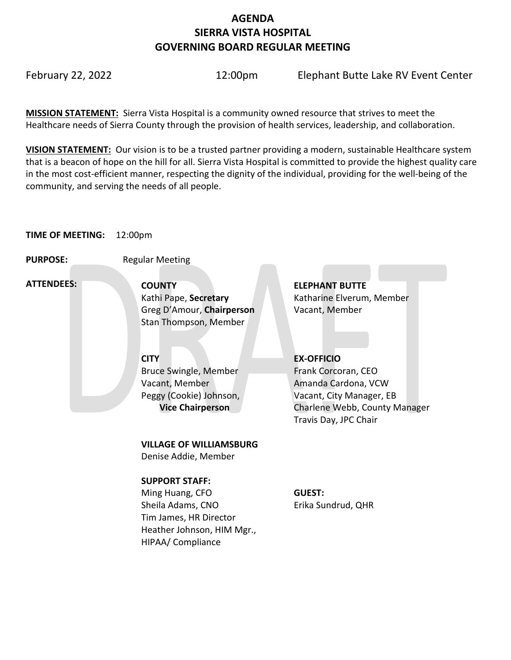# **AGENDA SIERRA VISTA HOSPITAL GOVERNING BOARD REGULAR MEETING**

February 22, 2022 12:00pm Elephant Butte Lake RV Event Center

**MISSION STATEMENT:** Sierra Vista Hospital is a community owned resource that strives to meet the Healthcare needs of Sierra County through the provision of health services, leadership, and collaboration.

**VISION STATEMENT:** Our vision is to be a trusted partner providing a modern, sustainable Healthcare system that is a beacon of hope on the hill for all. Sierra Vista Hospital is committed to provide the highest quality care in the most cost-efficient manner, respecting the dignity of the individual, providing for the well-being of the community, and serving the needs of all people.

# **TIME OF MEETING:** 12:00pm

**PURPOSE:** Regular Meeting

 **ATTENDEES:**

**COUNTY ELEPHANT BUTTE**  Greg D'Amour, **Chairperson** Vacant, Member Stan Thompson, Member

Bruce Swingle, Member Vacant, Member Peggy (Cookie) Johnson,  **Vice Chairperson**

**VILLAGE OF WILLIAMSBURG**

Denise Addie, Member

# **SUPPORT STAFF:**

Ming Huang, CFO Sheila Adams, CNO Tim James, HR Director Heather Johnson, HIM Mgr., HIPAA/ Compliance

Kathi Pape, **Secretary Katharine Elverum, Member** 

# **CITY EX-OFFICIO**

Frank Corcoran, CEO Amanda Cardona, VCW Vacant, City Manager, EB Charlene Webb, County Manager Travis Day, JPC Chair

## **GUEST:** Erika Sundrud, QHR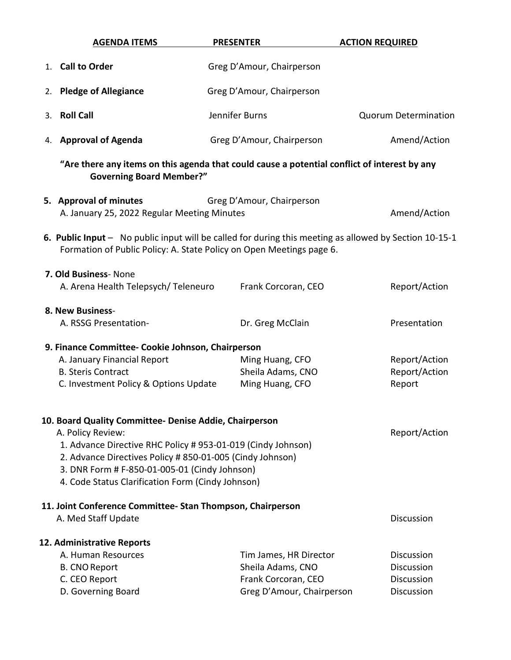| <b>AGENDA ITEMS</b>                                                                                                                                                                                                                   | <b>PRESENTER</b>                                                                                | <b>ACTION REQUIRED</b>                                                    |  |  |  |
|---------------------------------------------------------------------------------------------------------------------------------------------------------------------------------------------------------------------------------------|-------------------------------------------------------------------------------------------------|---------------------------------------------------------------------------|--|--|--|
| 1. Call to Order                                                                                                                                                                                                                      | Greg D'Amour, Chairperson                                                                       |                                                                           |  |  |  |
| 2. Pledge of Allegiance                                                                                                                                                                                                               | Greg D'Amour, Chairperson                                                                       |                                                                           |  |  |  |
| 3. Roll Call                                                                                                                                                                                                                          | Jennifer Burns                                                                                  | <b>Quorum Determination</b>                                               |  |  |  |
| 4. Approval of Agenda                                                                                                                                                                                                                 | Greg D'Amour, Chairperson                                                                       | Amend/Action                                                              |  |  |  |
| "Are there any items on this agenda that could cause a potential conflict of interest by any<br><b>Governing Board Member?"</b>                                                                                                       |                                                                                                 |                                                                           |  |  |  |
| 5. Approval of minutes<br>A. January 25, 2022 Regular Meeting Minutes                                                                                                                                                                 | Greg D'Amour, Chairperson                                                                       | Amend/Action                                                              |  |  |  |
| 6. Public Input - No public input will be called for during this meeting as allowed by Section 10-15-1<br>Formation of Public Policy: A. State Policy on Open Meetings page 6.                                                        |                                                                                                 |                                                                           |  |  |  |
| 7. Old Business- None<br>A. Arena Health Telepsych/ Teleneuro                                                                                                                                                                         | Frank Corcoran, CEO                                                                             | Report/Action                                                             |  |  |  |
| 8. New Business-<br>A. RSSG Presentation-                                                                                                                                                                                             | Dr. Greg McClain                                                                                | Presentation                                                              |  |  |  |
| 9. Finance Committee- Cookie Johnson, Chairperson<br>A. January Financial Report<br><b>B. Steris Contract</b><br>C. Investment Policy & Options Update<br>10. Board Quality Committee- Denise Addie, Chairperson<br>A. Policy Review: | Ming Huang, CFO<br>Sheila Adams, CNO<br>Ming Huang, CFO                                         | Report/Action<br>Report/Action<br>Report<br>Report/Action                 |  |  |  |
| 2. Advance Directives Policy # 850-01-005 (Cindy Johnson)<br>3. DNR Form # F-850-01-005-01 (Cindy Johnson)<br>4. Code Status Clarification Form (Cindy Johnson)                                                                       | 1. Advance Directive RHC Policy # 953-01-019 (Cindy Johnson)                                    |                                                                           |  |  |  |
| 11. Joint Conference Committee-Stan Thompson, Chairperson<br>A. Med Staff Update                                                                                                                                                      |                                                                                                 | <b>Discussion</b>                                                         |  |  |  |
| 12. Administrative Reports<br>A. Human Resources<br><b>B. CNO Report</b><br>C. CEO Report<br>D. Governing Board                                                                                                                       | Tim James, HR Director<br>Sheila Adams, CNO<br>Frank Corcoran, CEO<br>Greg D'Amour, Chairperson | <b>Discussion</b><br><b>Discussion</b><br><b>Discussion</b><br>Discussion |  |  |  |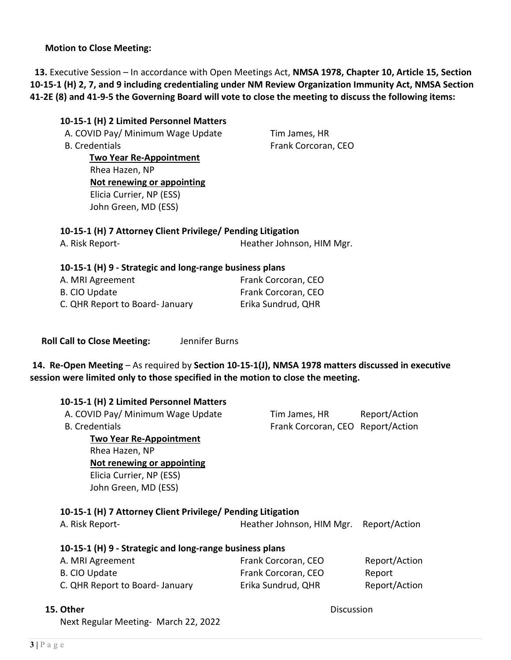### **Motion to Close Meeting:**

 **13.** Executive Session – In accordance with Open Meetings Act, **NMSA 1978, Chapter 10, Article 15, Section 10-15-1 (H) 2, 7, and 9 including credentialing under NM Review Organization Immunity Act, NMSA Section 41-2E (8) and 41-9-5 the Governing Board will vote to close the meeting to discuss the following items:**

### **10-15-1 (H) 2 Limited Personnel Matters**

A. COVID Pay/ Minimum Wage Update Tim James, HR B. Credentials **Example 20 Inches** Frank Corcoran, CEO

 **Two Year Re-Appointment** Rhea Hazen, NP **Not renewing or appointing** Elicia Currier, NP (ESS) John Green, MD (ESS)

# **10-15-1 (H) 7 Attorney Client Privilege/ Pending Litigation** A. Risk Report-<br>
Heather Johnson, HIM Mgr.

### **10-15-1 (H) 9 - Strategic and long-range business plans**

| A. MRI Agreement               | Frank Corcoran, CEO |
|--------------------------------|---------------------|
| B. CIO Update                  | Frank Corcoran, CEO |
| C. QHR Report to Board-January | Erika Sundrud, QHR  |

 **Roll Call to Close Meeting:** Jennifer Burns

**14. Re-Open Meeting** – As required by **Section 10-15-1(J), NMSA 1978 matters discussed in executive session were limited only to those specified in the motion to close the meeting.**

#### **10-15-1 (H) 2 Limited Personnel Matters**

| A. COVID Pay/ Minimum Wage Update | Tim James, HR                     | Report/Action |
|-----------------------------------|-----------------------------------|---------------|
| B. Credentials                    | Frank Corcoran, CEO Report/Action |               |
| <b>Two Year Re-Appointment</b>    |                                   |               |
| Rhea Hazen, NP                    |                                   |               |
| Not renewing or appointing        |                                   |               |

Elicia Currier, NP (ESS) John Green, MD (ESS)

### **10-15-1 (H) 7 Attorney Client Privilege/ Pending Litigation**

| A. Risk Report-                                         | Heather Johnson, HIM Mgr. | Report/Action |  |  |
|---------------------------------------------------------|---------------------------|---------------|--|--|
| 10-15-1 (H) 9 - Strategic and long-range business plans |                           |               |  |  |
| A. MRI Agreement                                        | Frank Corcoran, CEO       | Report/Action |  |  |
| <b>B. CIO Update</b>                                    | Frank Corcoran, CEO       | Report        |  |  |
| C. QHR Report to Board- January                         | Erika Sundrud, QHR        | Report/Action |  |  |

#### **15. Other** Discussion

Next Regular Meeting- March 22, 2022